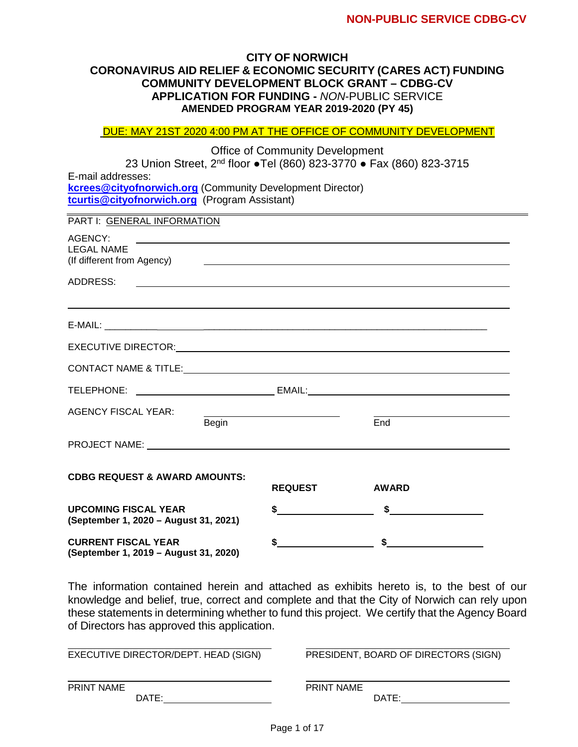#### **CITY OF NORWICH CORONAVIRUS AID RELIEF & ECONOMIC SECURITY (CARES ACT) FUNDING COMMUNITY DEVELOPMENT BLOCK GRANT – CDBG-CV APPLICATION FOR FUNDING -** *NON*-PUBLIC SERVICE **AMENDED PROGRAM YEAR 2019-2020 (PY 45)**

DUE: MAY 21ST 2020 4:00 PM AT THE OFFICE OF COMMUNITY DEVELOPMENT

Office of Community Development 23 Union Street, 2nd floor **●**Tel (860) 823-3770 **●** Fax (860) 823-3715 E-mail addresses: **kcrees@cityofnorwich.org** (Community Development Director) **[tcurtis@cityofnorwich.org](mailto:tcurtis@cityofnorwich.org)** (Program Assistant)

PART I: GENERAL INFORMATION AGENCY: LEGAL NAME (If different from Agency) ADDRESS: E-MAIL: \_\_\_\_\_\_\_\_\_\_ \_\_\_\_\_\_\_\_\_\_\_\_\_\_\_\_\_\_\_\_\_\_\_\_\_\_\_\_\_\_\_\_\_\_\_\_\_\_\_\_\_\_\_\_\_\_\_\_\_\_\_\_\_\_ EXECUTIVE DIRECTOR: CONTACT NAME & TITLE: TELEPHONE: EMAIL: AGENCY FISCAL YEAR: Begin End PROJECT NAME: **CDBG REQUEST & AWARD AMOUNTS: REQUEST AWARD**

| <b>UPCOMING FISCAL YEAR</b><br>(September 1, 2020 – August 31, 2021) |  |  |
|----------------------------------------------------------------------|--|--|
| <b>CURRENT FISCAL YEAR</b><br>(September 1, 2019 – August 31, 2020)  |  |  |

The information contained herein and attached as exhibits hereto is, to the best of our knowledge and belief, true, correct and complete and that the City of Norwich can rely upon these statements in determining whether to fund this project. We certify that the Agency Board of Directors has approved this application.

| EXECUTIVE DIRECTOR/DEPT. HEAD (SIGN) | PRESIDENT, BOARD OF DIRECTORS (SIGN) |
|--------------------------------------|--------------------------------------|
| <b>PRINT NAME</b>                    | <b>PRINT NAME</b>                    |
| DATE:                                | DATE:                                |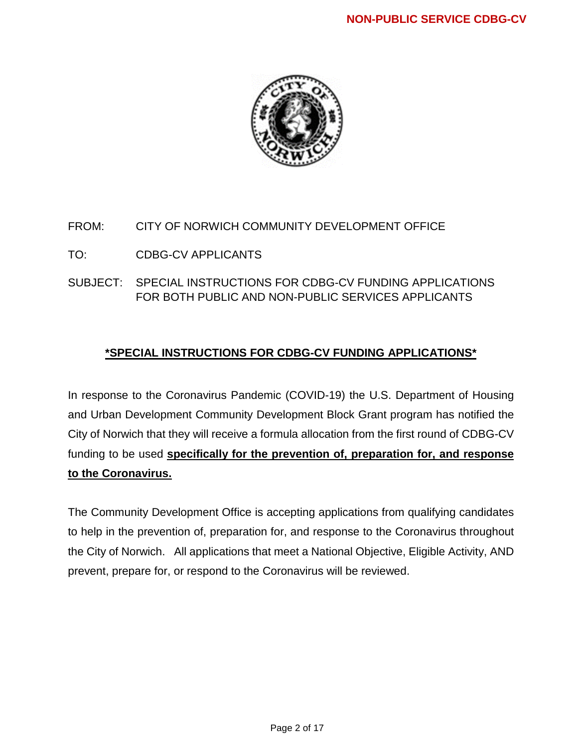

## FROM: CITY OF NORWICH COMMUNITY DEVELOPMENT OFFICE

## TO: CDBG-CV APPLICANTS

SUBJECT: SPECIAL INSTRUCTIONS FOR CDBG-CV FUNDING APPLICATIONS FOR BOTH PUBLIC AND NON-PUBLIC SERVICES APPLICANTS

## **\*SPECIAL INSTRUCTIONS FOR CDBG-CV FUNDING APPLICATIONS\***

In response to the Coronavirus Pandemic (COVID-19) the U.S. Department of Housing and Urban Development Community Development Block Grant program has notified the City of Norwich that they will receive a formula allocation from the first round of CDBG-CV funding to be used **specifically for the prevention of, preparation for, and response to the Coronavirus.**

The Community Development Office is accepting applications from qualifying candidates to help in the prevention of, preparation for, and response to the Coronavirus throughout the City of Norwich. All applications that meet a National Objective, Eligible Activity, AND prevent, prepare for, or respond to the Coronavirus will be reviewed.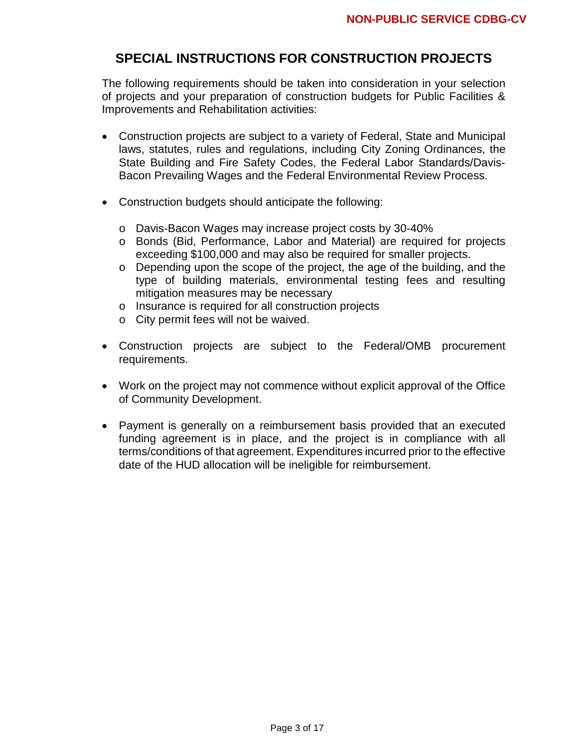## **SPECIAL INSTRUCTIONS FOR CONSTRUCTION PROJECTS**

The following requirements should be taken into consideration in your selection of projects and your preparation of construction budgets for Public Facilities & Improvements and Rehabilitation activities:

- Construction projects are subject to a variety of Federal, State and Municipal laws, statutes, rules and regulations, including City Zoning Ordinances, the State Building and Fire Safety Codes, the Federal Labor Standards/Davis-Bacon Prevailing Wages and the Federal Environmental Review Process.
- Construction budgets should anticipate the following:
	- o Davis-Bacon Wages may increase project costs by 30-40%
	- o Bonds (Bid, Performance, Labor and Material) are required for projects exceeding \$100,000 and may also be required for smaller projects.
	- o Depending upon the scope of the project, the age of the building, and the type of building materials, environmental testing fees and resulting mitigation measures may be necessary
	- o Insurance is required for all construction projects
	- o City permit fees will not be waived.
- Construction projects are subject to the Federal/OMB procurement requirements.
- Work on the project may not commence without explicit approval of the Office of Community Development.
- Payment is generally on a reimbursement basis provided that an executed funding agreement is in place, and the project is in compliance with all terms/conditions of that agreement. Expenditures incurred prior to the effective date of the HUD allocation will be ineligible for reimbursement.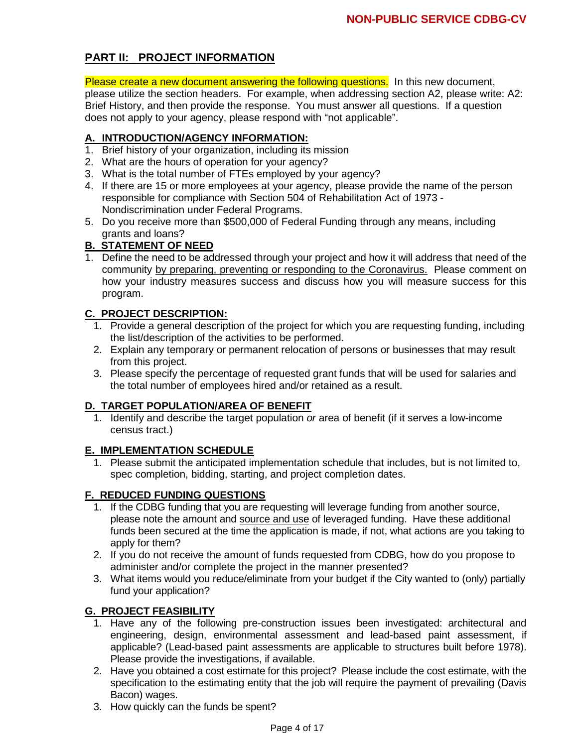## **PART II: PROJECT INFORMATION**

Please create a new document answering the following questions. In this new document, please utilize the section headers. For example, when addressing section A2, please write: A2: Brief History, and then provide the response. You must answer all questions. If a question does not apply to your agency, please respond with "not applicable".

## **A. INTRODUCTION/AGENCY INFORMATION:**

- 1. Brief history of your organization, including its mission
- 2. What are the hours of operation for your agency?
- 3. What is the total number of FTEs employed by your agency?
- 4. If there are 15 or more employees at your agency, please provide the name of the person responsible for compliance with Section 504 of Rehabilitation Act of 1973 - Nondiscrimination under Federal Programs.
- 5. Do you receive more than \$500,000 of Federal Funding through any means, including grants and loans?

### **B. STATEMENT OF NEED**

1. Define the need to be addressed through your project and how it will address that need of the community by preparing, preventing or responding to the Coronavirus. Please comment on how your industry measures success and discuss how you will measure success for this program.

## **C. PROJECT DESCRIPTION:**

- 1. Provide a general description of the project for which you are requesting funding, including the list/description of the activities to be performed.
- 2. Explain any temporary or permanent relocation of persons or businesses that may result from this project.
- 3. Please specify the percentage of requested grant funds that will be used for salaries and the total number of employees hired and/or retained as a result.

### **D. TARGET POPULATION/AREA OF BENEFIT**

1. Identify and describe the target population *or* area of benefit (if it serves a low-income census tract.)

### **E. IMPLEMENTATION SCHEDULE**

1. Please submit the anticipated implementation schedule that includes, but is not limited to, spec completion, bidding, starting, and project completion dates.

### **F. REDUCED FUNDING QUESTIONS**

- 1. If the CDBG funding that you are requesting will leverage funding from another source, please note the amount and source and use of leveraged funding. Have these additional funds been secured at the time the application is made, if not, what actions are you taking to apply for them?
- 2. If you do not receive the amount of funds requested from CDBG, how do you propose to administer and/or complete the project in the manner presented?
- 3. What items would you reduce/eliminate from your budget if the City wanted to (only) partially fund your application?

### **G. PROJECT FEASIBILITY**

- 1. Have any of the following pre-construction issues been investigated: architectural and engineering, design, environmental assessment and lead-based paint assessment, if applicable? (Lead-based paint assessments are applicable to structures built before 1978). Please provide the investigations, if available.
- 2. Have you obtained a cost estimate for this project? Please include the cost estimate, with the specification to the estimating entity that the job will require the payment of prevailing (Davis Bacon) wages.
- 3. How quickly can the funds be spent?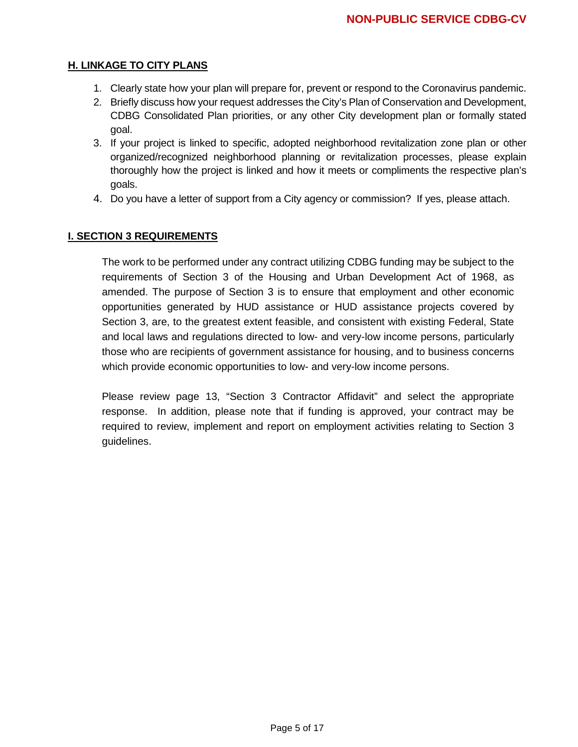### **H. LINKAGE TO CITY PLANS**

- 1. Clearly state how your plan will prepare for, prevent or respond to the Coronavirus pandemic.
- 2. Briefly discuss how your request addresses the City's Plan of Conservation and Development, CDBG Consolidated Plan priorities, or any other City development plan or formally stated goal.
- 3. If your project is linked to specific, adopted neighborhood revitalization zone plan or other organized/recognized neighborhood planning or revitalization processes, please explain thoroughly how the project is linked and how it meets or compliments the respective plan's goals.
- 4. Do you have a letter of support from a City agency or commission? If yes, please attach.

#### **I. SECTION 3 REQUIREMENTS**

The work to be performed under any contract utilizing CDBG funding may be subject to the requirements of Section 3 of the Housing and Urban Development Act of 1968, as amended. The purpose of Section 3 is to ensure that employment and other economic opportunities generated by HUD assistance or HUD assistance projects covered by Section 3, are, to the greatest extent feasible, and consistent with existing Federal, State and local laws and regulations directed to low- and very-low income persons, particularly those who are recipients of government assistance for housing, and to business concerns which provide economic opportunities to low- and very-low income persons.

Please review page 13, "Section 3 Contractor Affidavit" and select the appropriate response. In addition, please note that if funding is approved, your contract may be required to review, implement and report on employment activities relating to Section 3 guidelines.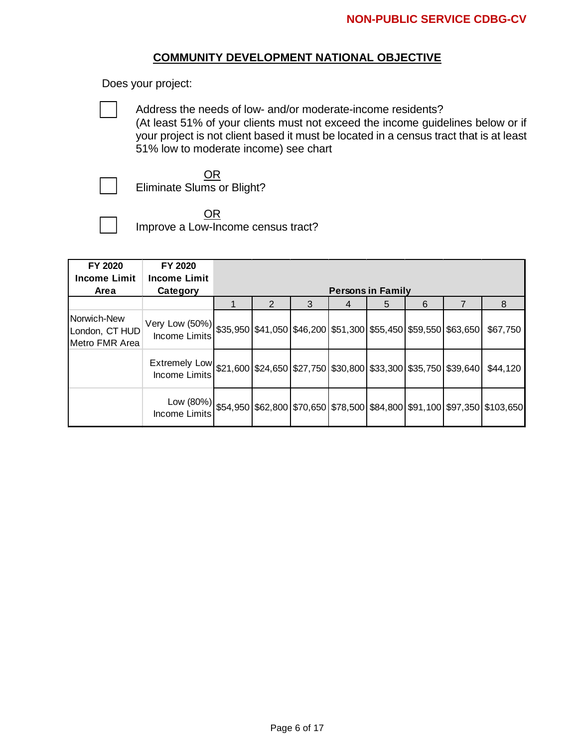#### **COMMUNITY DEVELOPMENT NATIONAL OBJECTIVE**

Does your project:

Address the needs of low- and/or moderate-income residents? (At least 51% of your clients must not exceed the income guidelines below or if your project is not client based it must be located in a census tract that is at least 51% low to moderate income) see chart

Eliminate Slums or Blight?

OR Improve a Low-Income census tract?

OR

| FY 2020                                         | FY 2020                                                                                                              |                          |                |   |   |   |   |          |
|-------------------------------------------------|----------------------------------------------------------------------------------------------------------------------|--------------------------|----------------|---|---|---|---|----------|
| <b>Income Limit</b>                             | <b>Income Limit</b>                                                                                                  |                          |                |   |   |   |   |          |
| Area                                            | Category                                                                                                             | <b>Persons in Family</b> |                |   |   |   |   |          |
|                                                 |                                                                                                                      |                          | $\overline{2}$ | 3 | 4 | 5 | 6 | 8        |
| Norwich-New<br>London, CT HUD<br>Metro FMR Area | Very Low (50%)  \$35,950   \$41,050   \$46,200   \$51,300   \$55,450   \$59,550   \$63,650  <br><b>Income Limits</b> |                          |                |   |   |   |   | \$67,750 |
|                                                 | Extremely Low \$21,600 \$24,650 \$27,750 \$30,800 \$33,300 \$35,750 \$39,640<br>Income Limits                        |                          |                |   |   |   |   | \$44,120 |
|                                                 | Low $(80\%)$ \$54,950 \$62,800 \$70,650 \$78,500 \$84,800 \$91,100 \$97,350 \$103,650<br>Income Limits               |                          |                |   |   |   |   |          |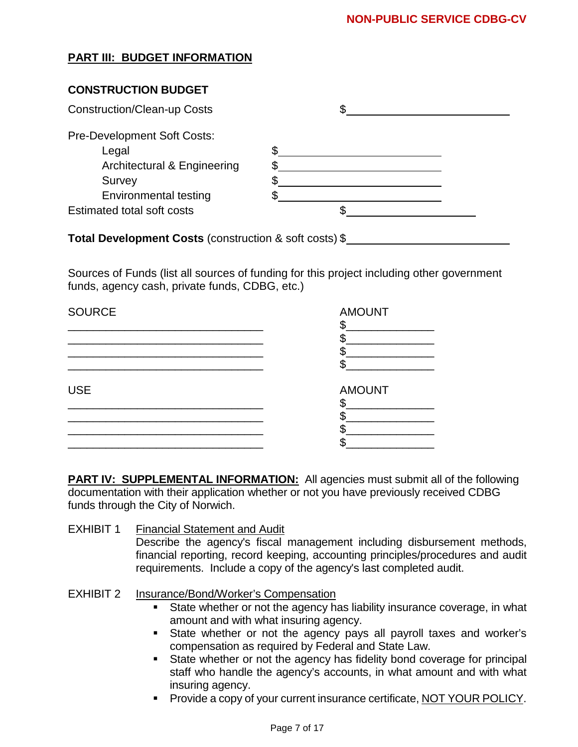## **PART III: BUDGET INFORMATION**

## **CONSTRUCTION BUDGET**

| <b>Construction/Clean-up Costs</b>     |  |
|----------------------------------------|--|
| <b>Pre-Development Soft Costs:</b>     |  |
| Legal                                  |  |
| <b>Architectural &amp; Engineering</b> |  |
| Survey                                 |  |
| <b>Environmental testing</b>           |  |
| <b>Estimated total soft costs</b>      |  |

**Total Development Costs** (construction & soft costs) \$

Sources of Funds (list all sources of funding for this project including other government funds, agency cash, private funds, CDBG, etc.)

| <b>SOURCE</b> | <b>AMOUNT</b> |
|---------------|---------------|
|               |               |
|               |               |
|               |               |
|               |               |
| <b>USE</b>    | <b>AMOUNT</b> |
|               |               |
|               |               |
|               |               |
|               |               |

**PART IV: SUPPLEMENTAL INFORMATION:** All agencies must submit all of the following documentation with their application whether or not you have previously received CDBG funds through the City of Norwich.

## EXHIBIT 1 Financial Statement and Audit

Describe the agency's fiscal management including disbursement methods, financial reporting, record keeping, accounting principles/procedures and audit requirements. Include a copy of the agency's last completed audit.

## EXHIBIT 2 Insurance/Bond/Worker's Compensation

- State whether or not the agency has liability insurance coverage, in what amount and with what insuring agency.
- State whether or not the agency pays all payroll taxes and worker's compensation as required by Federal and State Law.
- State whether or not the agency has fidelity bond coverage for principal staff who handle the agency's accounts, in what amount and with what insuring agency.
- **Provide a copy of your current insurance certificate, NOT YOUR POLICY.**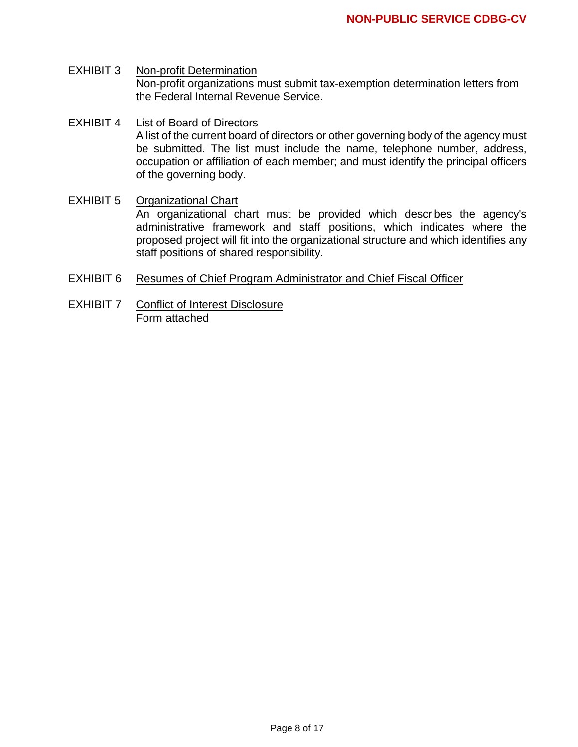- EXHIBIT 3 Non-profit Determination Non-profit organizations must submit tax-exemption determination letters from the Federal Internal Revenue Service.
- EXHIBIT 4 List of Board of Directors A list of the current board of directors or other governing body of the agency must be submitted. The list must include the name, telephone number, address, occupation or affiliation of each member; and must identify the principal officers of the governing body.
- EXHIBIT 5 Organizational Chart An organizational chart must be provided which describes the agency's administrative framework and staff positions, which indicates where the proposed project will fit into the organizational structure and which identifies any staff positions of shared responsibility.
- EXHIBIT 6 Resumes of Chief Program Administrator and Chief Fiscal Officer
- EXHIBIT 7 Conflict of Interest Disclosure Form attached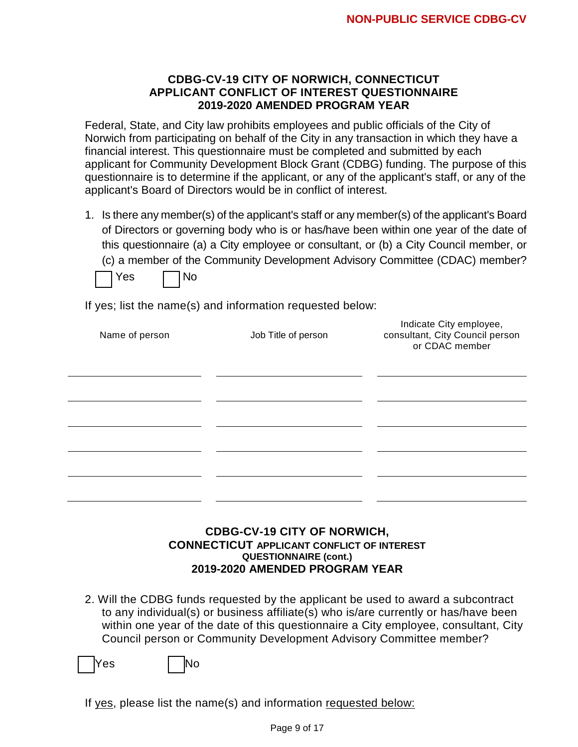#### **CDBG-CV-19 CITY OF NORWICH, CONNECTICUT APPLICANT CONFLICT OF INTEREST QUESTIONNAIRE 2019-2020 AMENDED PROGRAM YEAR**

Federal, State, and City law prohibits employees and public officials of the City of Norwich from participating on behalf of the City in any transaction in which they have a financial interest. This questionnaire must be completed and submitted by each applicant for Community Development Block Grant (CDBG) funding. The purpose of this questionnaire is to determine if the applicant, or any of the applicant's staff, or any of the applicant's Board of Directors would be in conflict of interest.

1. Is there any member(s) of the applicant's staff or any member(s) of the applicant's Board of Directors or governing body who is or has/have been within one year of the date of this questionnaire (a) a City employee or consultant, or (b) a City Council member, or (c) a member of the Community Development Advisory Committee (CDAC) member?

 $Yes \t | No$ 

If yes; list the name(s) and information requested below:

| Name of person | Job Title of person | Indicate City employee,<br>consultant, City Council person<br>or CDAC member |
|----------------|---------------------|------------------------------------------------------------------------------|
|                |                     |                                                                              |
|                |                     |                                                                              |
|                |                     |                                                                              |
|                |                     |                                                                              |
|                |                     |                                                                              |

#### **CDBG-CV-19 CITY OF NORWICH, CONNECTICUT APPLICANT CONFLICT OF INTEREST QUESTIONNAIRE (cont.) 2019-2020 AMENDED PROGRAM YEAR**

2. Will the CDBG funds requested by the applicant be used to award a subcontract to any individual(s) or business affiliate(s) who is/are currently or has/have been within one year of the date of this questionnaire a City employee, consultant, City Council person or Community Development Advisory Committee member?

Yes I <mark>N</mark>o

If yes, please list the name(s) and information requested below: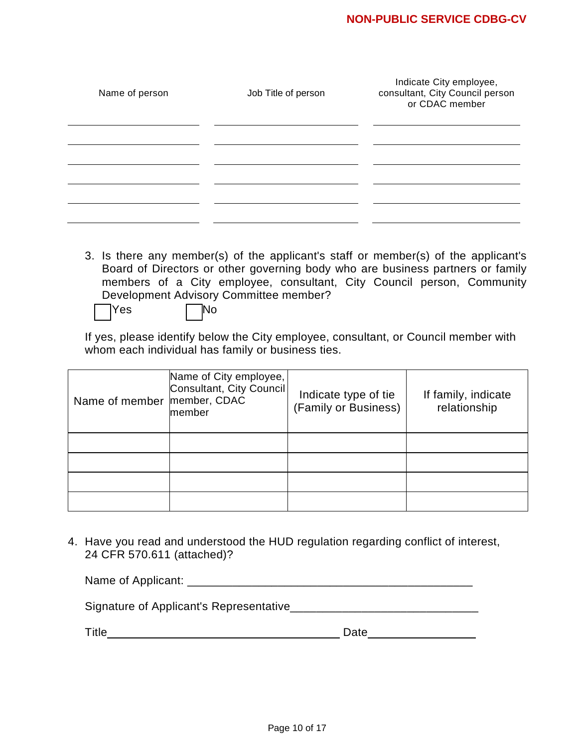| Name of person | Job Title of person | Indicate City employee,<br>consultant, City Council person<br>or CDAC member |
|----------------|---------------------|------------------------------------------------------------------------------|
|                |                     |                                                                              |
|                |                     |                                                                              |
|                |                     |                                                                              |

3. Is there any member(s) of the applicant's staff or member(s) of the applicant's Board of Directors or other governing body who are business partners or family members of a City employee, consultant, City Council person, Community Development Advisory Committee member?

 $\begin{array}{ccc} \mathsf{Yes} & \mathsf{\quad \quad} \mathsf{\quad \quad} \mathsf{No} \end{array}$ 

If yes, please identify below the City employee, consultant, or Council member with whom each individual has family or business ties.

| Name of member | Name of City employee,<br>Consultant, City Council<br>member, CDAC<br>member | Indicate type of tie<br>(Family or Business) | If family, indicate<br>relationship |
|----------------|------------------------------------------------------------------------------|----------------------------------------------|-------------------------------------|
|                |                                                                              |                                              |                                     |
|                |                                                                              |                                              |                                     |
|                |                                                                              |                                              |                                     |
|                |                                                                              |                                              |                                     |

4. Have you read and understood the HUD regulation regarding conflict of interest, 24 CFR 570.611 (attached)?

Signature of Applicant's Representative\_\_\_\_\_\_\_\_\_\_\_\_\_\_\_\_\_\_\_\_\_\_\_\_\_\_\_\_\_

Title Date

| ate<br>ເບ |  |
|-----------|--|
|           |  |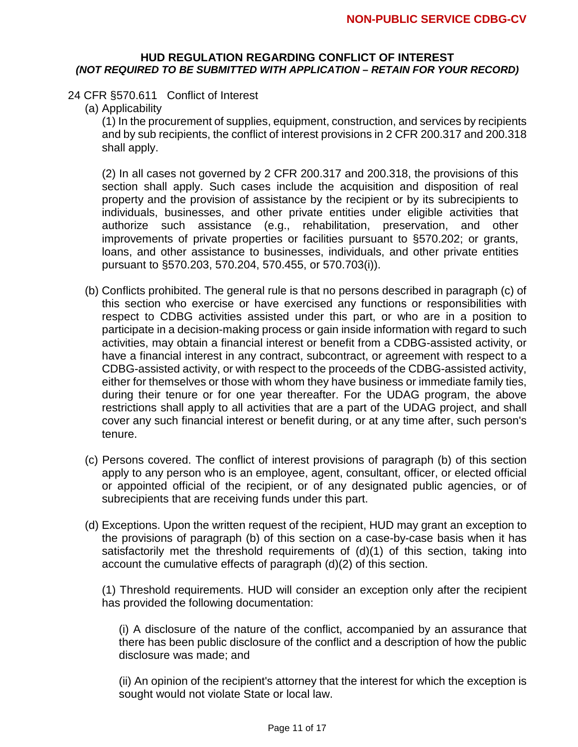#### **HUD REGULATION REGARDING CONFLICT OF INTEREST**  *(NOT REQUIRED TO BE SUBMITTED WITH APPLICATION – RETAIN FOR YOUR RECORD)*

#### 24 CFR §570.611 Conflict of Interest

(a) Applicability

(1) In the procurement of supplies, equipment, construction, and services by recipients and by sub recipients, the conflict of interest provisions in 2 CFR 200.317 and 200.318 shall apply.

(2) In all cases not governed by 2 CFR 200.317 and 200.318, the provisions of this section shall apply. Such cases include the acquisition and disposition of real property and the provision of assistance by the recipient or by its subrecipients to individuals, businesses, and other private entities under eligible activities that authorize such assistance (e.g., rehabilitation, preservation, and other improvements of private properties or facilities pursuant to §570.202; or grants, loans, and other assistance to businesses, individuals, and other private entities pursuant to §570.203, 570.204, 570.455, or 570.703(i)).

- (b) Conflicts prohibited. The general rule is that no persons described in paragraph (c) of this section who exercise or have exercised any functions or responsibilities with respect to CDBG activities assisted under this part, or who are in a position to participate in a decision-making process or gain inside information with regard to such activities, may obtain a financial interest or benefit from a CDBG-assisted activity, or have a financial interest in any contract, subcontract, or agreement with respect to a CDBG-assisted activity, or with respect to the proceeds of the CDBG-assisted activity, either for themselves or those with whom they have business or immediate family ties, during their tenure or for one year thereafter. For the UDAG program, the above restrictions shall apply to all activities that are a part of the UDAG project, and shall cover any such financial interest or benefit during, or at any time after, such person's tenure.
- (c) Persons covered. The conflict of interest provisions of paragraph (b) of this section apply to any person who is an employee, agent, consultant, officer, or elected official or appointed official of the recipient, or of any designated public agencies, or of subrecipients that are receiving funds under this part.
- (d) Exceptions. Upon the written request of the recipient, HUD may grant an exception to the provisions of paragraph (b) of this section on a case-by-case basis when it has satisfactorily met the threshold requirements of (d)(1) of this section, taking into account the cumulative effects of paragraph (d)(2) of this section.

(1) Threshold requirements. HUD will consider an exception only after the recipient has provided the following documentation:

(i) A disclosure of the nature of the conflict, accompanied by an assurance that there has been public disclosure of the conflict and a description of how the public disclosure was made; and

(ii) An opinion of the recipient's attorney that the interest for which the exception is sought would not violate State or local law.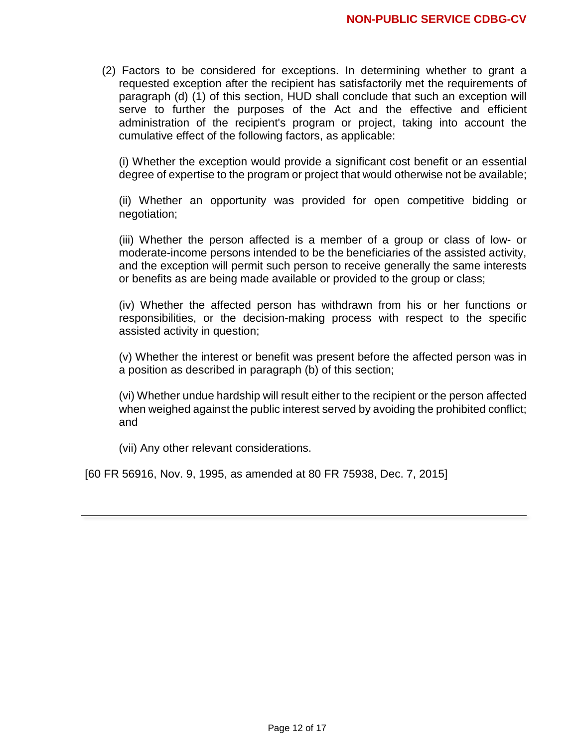(2) Factors to be considered for exceptions. In determining whether to grant a requested exception after the recipient has satisfactorily met the requirements of paragraph (d) (1) of this section, HUD shall conclude that such an exception will serve to further the purposes of the Act and the effective and efficient administration of the recipient's program or project, taking into account the cumulative effect of the following factors, as applicable:

(i) Whether the exception would provide a significant cost benefit or an essential degree of expertise to the program or project that would otherwise not be available;

(ii) Whether an opportunity was provided for open competitive bidding or negotiation;

(iii) Whether the person affected is a member of a group or class of low- or moderate-income persons intended to be the beneficiaries of the assisted activity, and the exception will permit such person to receive generally the same interests or benefits as are being made available or provided to the group or class;

(iv) Whether the affected person has withdrawn from his or her functions or responsibilities, or the decision-making process with respect to the specific assisted activity in question;

(v) Whether the interest or benefit was present before the affected person was in a position as described in paragraph (b) of this section;

(vi) Whether undue hardship will result either to the recipient or the person affected when weighed against the public interest served by avoiding the prohibited conflict; and

(vii) Any other relevant considerations.

[60 FR 56916, Nov. 9, 1995, as amended at 80 FR 75938, Dec. 7, 2015]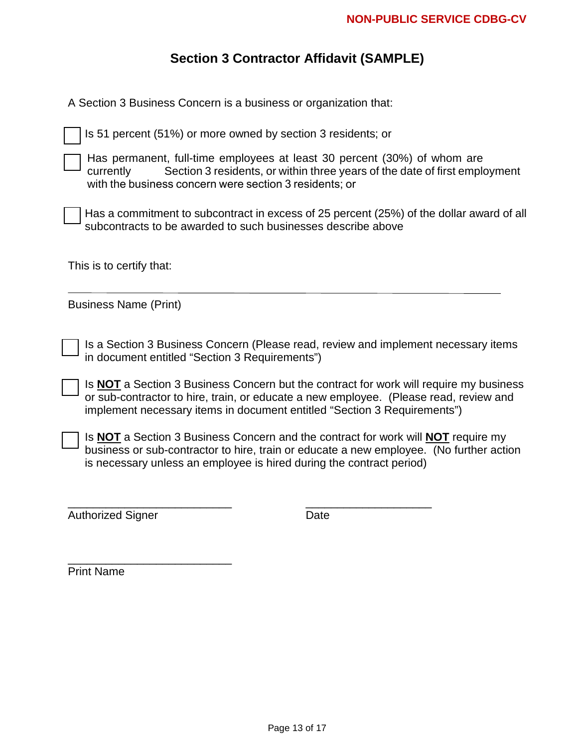# **Section 3 Contractor Affidavit (SAMPLE)**

| A Section 3 Business Concern is a business or organization that:                                                                                                                                                                                            |
|-------------------------------------------------------------------------------------------------------------------------------------------------------------------------------------------------------------------------------------------------------------|
| Is 51 percent (51%) or more owned by section 3 residents; or                                                                                                                                                                                                |
| Has permanent, full-time employees at least 30 percent (30%) of whom are<br>Section 3 residents, or within three years of the date of first employment<br>currently<br>with the business concern were section 3 residents; or                               |
| Has a commitment to subcontract in excess of 25 percent (25%) of the dollar award of all<br>subcontracts to be awarded to such businesses describe above                                                                                                    |
| This is to certify that:                                                                                                                                                                                                                                    |
| <b>Business Name (Print)</b>                                                                                                                                                                                                                                |
| Is a Section 3 Business Concern (Please read, review and implement necessary items<br>in document entitled "Section 3 Requirements")                                                                                                                        |
| Is NOT a Section 3 Business Concern but the contract for work will require my business<br>or sub-contractor to hire, train, or educate a new employee. (Please read, review and<br>implement necessary items in document entitled "Section 3 Requirements") |
| Is NOT a Section 3 Business Concern and the contract for work will NOT require my<br>business or sub-contractor to hire, train or educate a new employee. (No further action<br>is necessary unless an employee is hired during the contract period)        |
| <b>Authorized Signer</b><br>Date                                                                                                                                                                                                                            |
|                                                                                                                                                                                                                                                             |

Print Name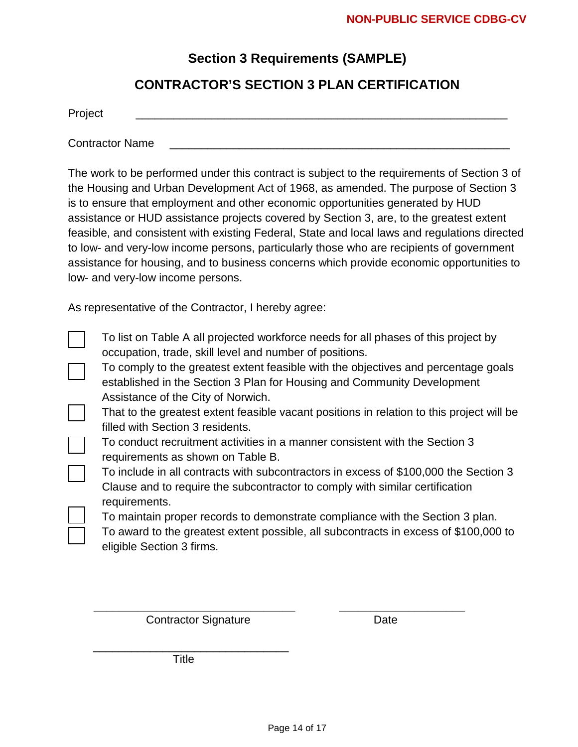## **Section 3 Requirements (SAMPLE)**

## **CONTRACTOR'S SECTION 3 PLAN CERTIFICATION**

Project \_\_\_\_\_\_\_\_\_\_\_\_\_\_\_\_\_\_\_\_\_\_\_\_\_\_\_\_\_\_\_\_\_\_\_\_\_\_\_\_\_\_\_\_\_\_\_\_\_\_\_\_\_\_\_\_\_\_\_

Contractor Name

The work to be performed under this contract is subject to the requirements of Section 3 of the Housing and Urban Development Act of 1968, as amended. The purpose of Section 3 is to ensure that employment and other economic opportunities generated by HUD assistance or HUD assistance projects covered by Section 3, are, to the greatest extent feasible, and consistent with existing Federal, State and local laws and regulations directed to low- and very-low income persons, particularly those who are recipients of government assistance for housing, and to business concerns which provide economic opportunities to low- and very-low income persons.

As representative of the Contractor, I hereby agree:

- To list on Table A all projected workforce needs for all phases of this project by occupation, trade, skill level and number of positions.
- To comply to the greatest extent feasible with the objectives and percentage goals established in the Section 3 Plan for Housing and Community Development Assistance of the City of Norwich.
- That to the greatest extent feasible vacant positions in relation to this project will be filled with Section 3 residents.
- \_ To conduct recruitment activities in a manner consistent with the Section 3 requirements as shown on Table B.
	- To include in all contracts with subcontractors in excess of \$100,000 the Section 3 Clause and to require the subcontractor to comply with similar certification requirements.
		- To maintain proper records to demonstrate compliance with the Section 3 plan.

To award to the greatest extent possible, all subcontracts in excess of \$100,000 to eligible Section 3 firms.

 *\_\_\_\_\_\_\_\_\_\_\_\_\_\_\_\_\_\_\_\_\_\_\_\_\_\_\_\_\_\_\_\_ \_\_\_\_\_\_\_\_\_\_\_\_\_\_\_\_\_\_\_\_* **Contractor Signature Date** Date

\_\_\_\_\_\_\_\_\_\_\_\_\_\_\_\_\_\_\_\_\_\_\_\_\_\_\_\_\_\_\_ **Title**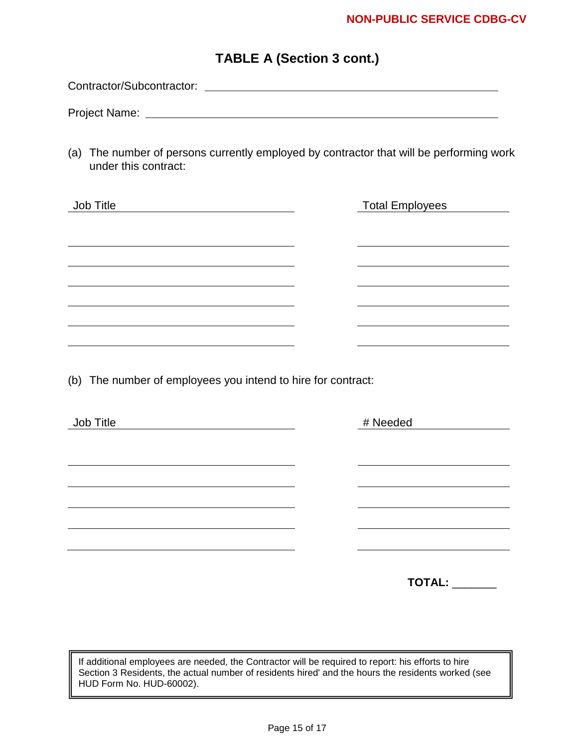## **TABLE A (Section 3 cont.)**

Contractor/Subcontractor:

Project Name:

(a) The number of persons currently employed by contractor that will be performing work under this contract:

| Job Title | <b>Total Employees</b> |
|-----------|------------------------|
|           |                        |
|           |                        |
|           |                        |
|           |                        |
|           |                        |
|           |                        |
|           |                        |
|           |                        |

(b) The number of employees you intend to hire for contract:

| Job Title | # Needed      |
|-----------|---------------|
|           |               |
|           |               |
|           |               |
|           |               |
|           |               |
|           |               |
|           |               |
|           | <b>TOTAL:</b> |

If additional employees are needed, the Contractor will be required to report: his efforts to hire Section 3 Residents, the actual number of residents hired' and the hours the residents worked (see HUD Form No. HUD-60002).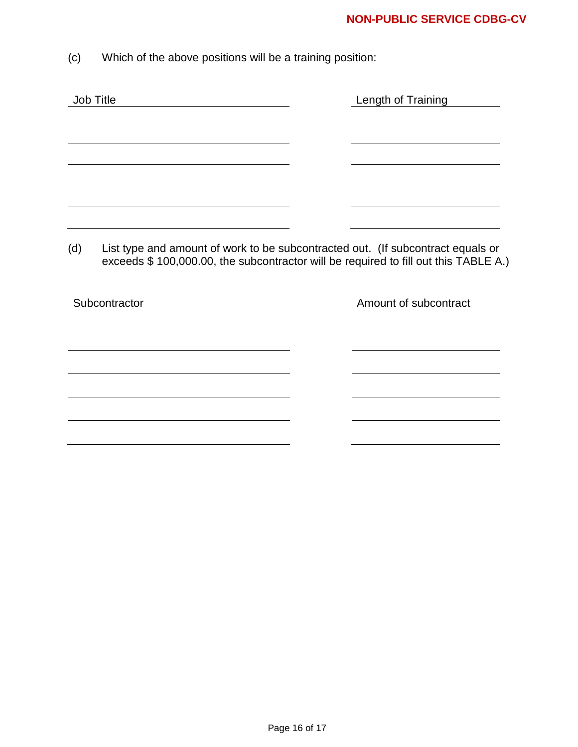(c) Which of the above positions will be a training position:

| Job Title     | Length of Training                                                                                                                                                     |
|---------------|------------------------------------------------------------------------------------------------------------------------------------------------------------------------|
|               |                                                                                                                                                                        |
|               |                                                                                                                                                                        |
|               |                                                                                                                                                                        |
|               |                                                                                                                                                                        |
|               |                                                                                                                                                                        |
| (d)           | List type and amount of work to be subcontracted out. (If subcontract equals or<br>exceeds \$100,000.00, the subcontractor will be required to fill out this TABLE A.) |
| Subcontractor | Amount of subcontract                                                                                                                                                  |
|               |                                                                                                                                                                        |
|               |                                                                                                                                                                        |
|               |                                                                                                                                                                        |
|               |                                                                                                                                                                        |
|               |                                                                                                                                                                        |
|               |                                                                                                                                                                        |